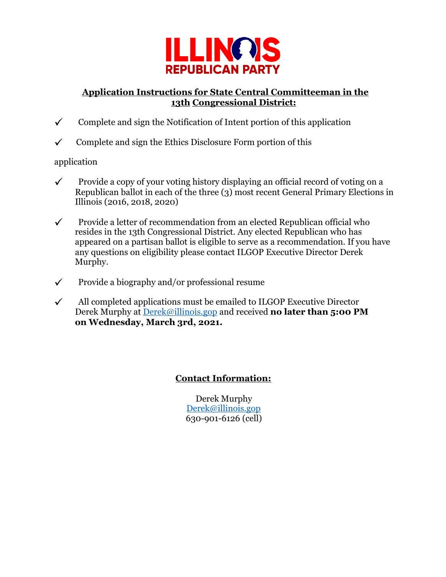

### **Application Instructions for State Central Committeeman in the 13th Congressional District:**

- $\checkmark$  Complete and sign the Notification of Intent portion of this application
- $\checkmark$  Complete and sign the Ethics Disclosure Form portion of this

### application

- $\checkmark$  Provide a copy of your voting history displaying an official record of voting on a Republican ballot in each of the three (3) most recent General Primary Elections in Illinois (2016, 2018, 2020)
- $\checkmark$  Provide a letter of recommendation from an elected Republican official who resides in the 13th Congressional District. Any elected Republican who has appeared on a partisan ballot is eligible to serve as a recommendation. If you have any questions on eligibility please contact ILGOP Executive Director Derek Murphy.
- $\checkmark$  Provide a biography and/or professional resume
- $\checkmark$  All completed applications must be emailed to ILGOP Executive Director Derek Murphy at [Derek@illinois.gop](mailto:anthony@illinois.gop) [a](mailto:anthony@illinois.gop)nd received **no later than 5:00 PM on Wednesday, March 3rd, 2021.**

## **Contact Information:**

Derek Murphy [Derek@illinois.gop](mailto:anthony@illinois.gop) 630-901-6126 (cell)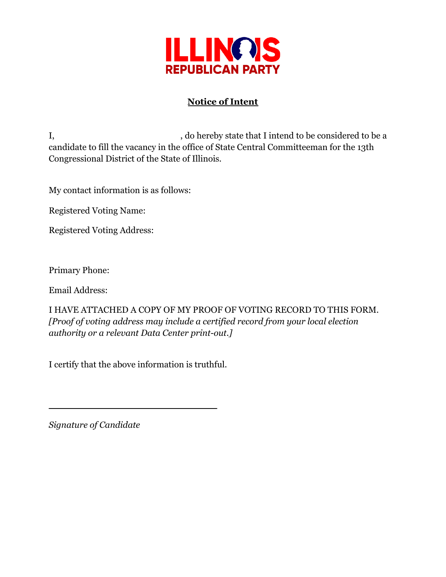

# **Notice of Intent**

I, so hereby state that I intend to be considered to be a candidate to fill the vacancy in the office of State Central Committeeman for the 13th Congressional District of the State of Illinois.

My contact information is as follows:

Registered Voting Name:

Registered Voting Address:

Primary Phone:

Email Address:

I HAVE ATTACHED A COPY OF MY PROOF OF VOTING RECORD TO THIS FORM. *[Proof of voting address may include a certified record from your local election authority or a relevant Data Center print-out.]*

I certify that the above information is truthful.

*Signature of Candidate*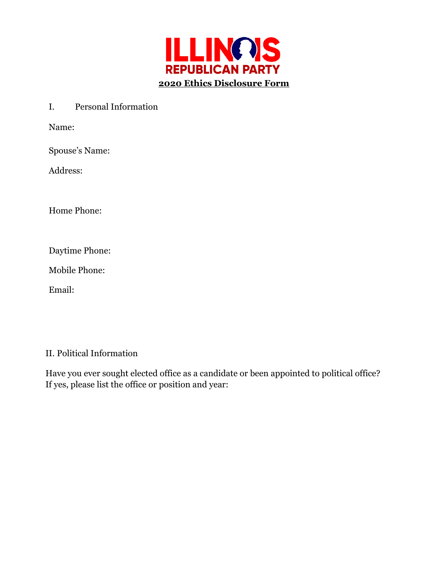

I. Personal Information

Name:

Spouse's Name:

Address:

Home Phone:

Daytime Phone:

Mobile Phone:

Email:

#### II. Political Information

Have you ever sought elected office as a candidate or been appointed to political office? If yes, please list the office or position and year: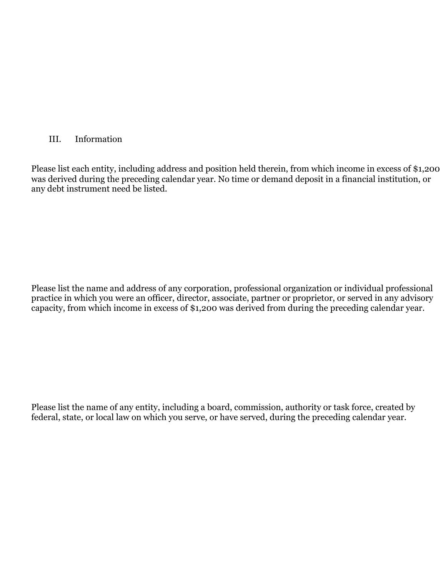#### III. Information

Please list each entity, including address and position held therein, from which income in excess of \$1,200 was derived during the preceding calendar year. No time or demand deposit in a financial institution, or any debt instrument need be listed.

Please list the name and address of any corporation, professional organization or individual professional practice in which you were an officer, director, associate, partner or proprietor, or served in any advisory capacity, from which income in excess of \$1,200 was derived from during the preceding calendar year.

Please list the name of any entity, including a board, commission, authority or task force, created by federal, state, or local law on which you serve, or have served, during the preceding calendar year.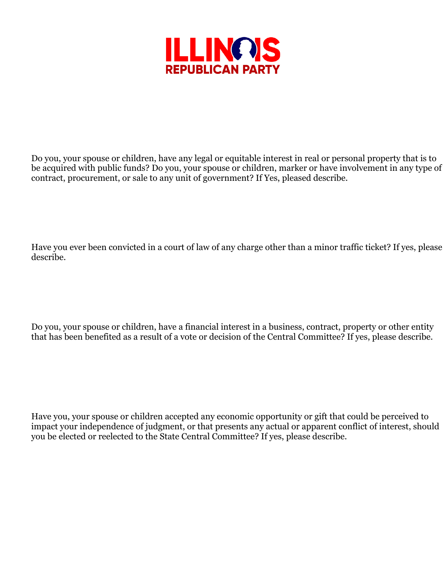

Do you, your spouse or children, have any legal or equitable interest in real or personal property that is to be acquired with public funds? Do you, your spouse or children, marker or have involvement in any type of contract, procurement, or sale to any unit of government? If Yes, pleased describe.

Have you ever been convicted in a court of law of any charge other than a minor traffic ticket? If yes, please describe.

Do you, your spouse or children, have a financial interest in a business, contract, property or other entity that has been benefited as a result of a vote or decision of the Central Committee? If yes, please describe.

Have you, your spouse or children accepted any economic opportunity or gift that could be perceived to impact your independence of judgment, or that presents any actual or apparent conflict of interest, should you be elected or reelected to the State Central Committee? If yes, please describe.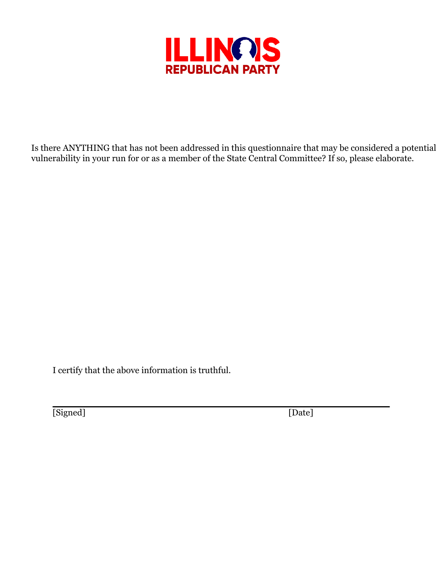

Is there ANYTHING that has not been addressed in this questionnaire that may be considered a potential vulnerability in your run for or as a member of the State Central Committee? If so, please elaborate.

I certify that the above information is truthful.

[Signed] [Date]